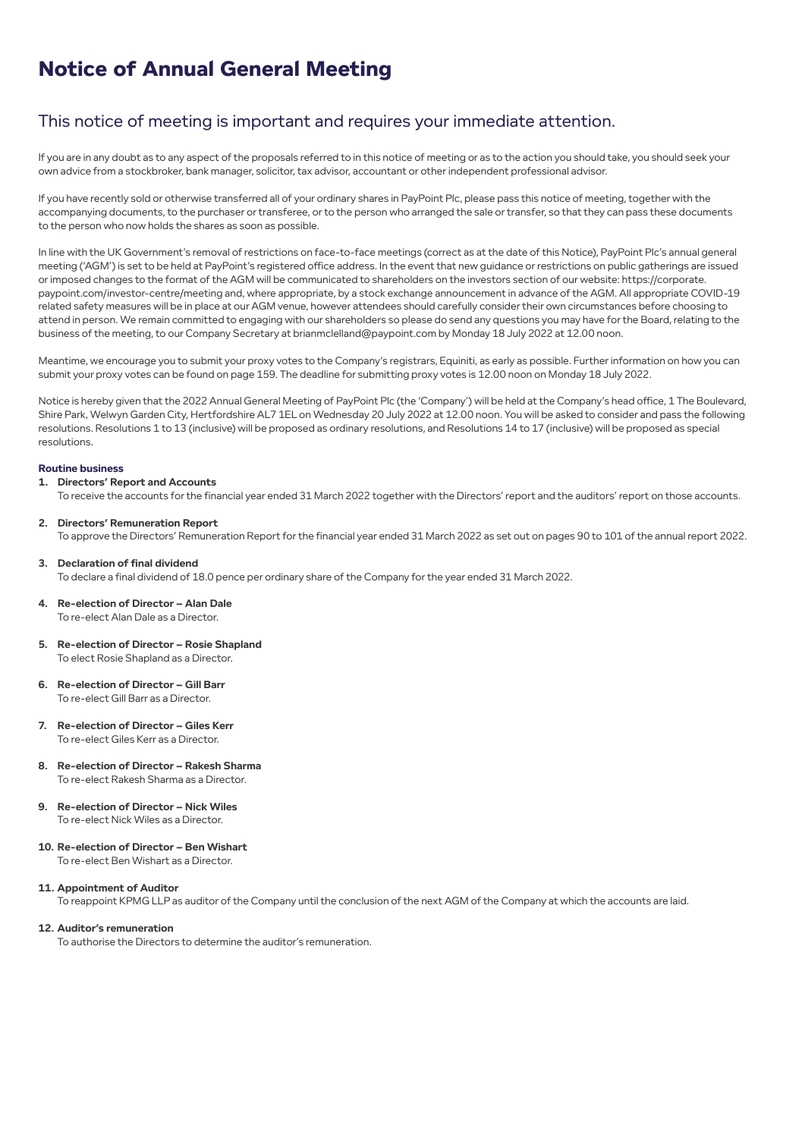# **Notice of Annual General Meeting**

### This notice of meeting is important and requires your immediate attention.

If you are in any doubt as to any aspect of the proposals referred to in this notice of meeting or as to the action you should take, you should seek your own advice from a stockbroker, bank manager, solicitor, tax advisor, accountant or other independent professional advisor.

If you have recently sold or otherwise transferred all of your ordinary shares in PayPoint Plc, please pass this notice of meeting, together with the accompanying documents, to the purchaser or transferee, or to the person who arranged the sale or transfer, so that they can pass these documents to the person who now holds the shares as soon as possible.

In line with the UK Government's removal of restrictions on face-to-face meetings (correct as at the date of this Notice), PayPoint Plc's annual general meeting ('AGM') is set to be held at PayPoint's registered office address. In the event that new guidance or restrictions on public gatherings are issued or imposed changes to the format of the AGM will be communicated to shareholders on the investors section of our website: https://corporate. paypoint.com/investor-centre/meeting and, where appropriate, by a stock exchange announcement in advance of the AGM. All appropriate COVID-19 related safety measures will be in place at our AGM venue, however attendees should carefully consider their own circumstances before choosing to attend in person. We remain committed to engaging with our shareholders so please do send any questions you may have for the Board, relating to the business of the meeting, to our Company Secretary at brianmclelland@paypoint.com by Monday 18 July 2022 at 12.00 noon.

Meantime, we encourage you to submit your proxy votes to the Company's registrars, Equiniti, as early as possible. Further information on how you can submit your proxy votes can be found on page 159. The deadline for submitting proxy votes is 12.00 noon on Monday 18 July 2022.

Notice is hereby given that the 2022 Annual General Meeting of PayPoint Plc (the 'Company') will be held at the Company's head office, 1 The Boulevard, Shire Park, Welwyn Garden City, Hertfordshire AL7 1EL on Wednesday 20 July 2022 at 12.00 noon. You will be asked to consider and pass the following resolutions. Resolutions 1 to 13 (inclusive) will be proposed as ordinary resolutions, and Resolutions 14 to 17 (inclusive) will be proposed as special resolutions.

#### **Routine business**

#### **1. Directors' Report and Accounts**

To receive the accounts for the financial year ended 31 March 2022 together with the Directors' report and the auditors' report on those accounts.

**2. Directors' Remuneration Report** To approve the Directors' Remuneration Report for the financial year ended 31 March 2022 as set out on pages 90 to 101 of the annual report 2022.

#### **3. Declaration of final dividend**

To declare a final dividend of 18.0 pence per ordinary share of the Company for the year ended 31 March 2022.

#### **4. Re-election of Director – Alan Dale**

To re-elect Alan Dale as a Director.

- **5. Re-election of Director Rosie Shapland**  To elect Rosie Shapland as a Director.
- **6. Re-election of Director Gill Barr** To re-elect Gill Barr as a Director.
- **7. Re-election of Director Giles Kerr** To re-elect Giles Kerr as a Director.
- **8. Re-election of Director Rakesh Sharma** To re-elect Rakesh Sharma as a Director.
- **9. Re-election of Director Nick Wiles** To re-elect Nick Wiles as a Director.
- **10. Re-election of Director Ben Wishart** To re-elect Ben Wishart as a Director.

#### **11. Appointment of Auditor**

To reappoint KPMG LLP as auditor of the Company until the conclusion of the next AGM of the Company at which the accounts are laid.

#### **12. Auditor's remuneration**

To authorise the Directors to determine the auditor's remuneration.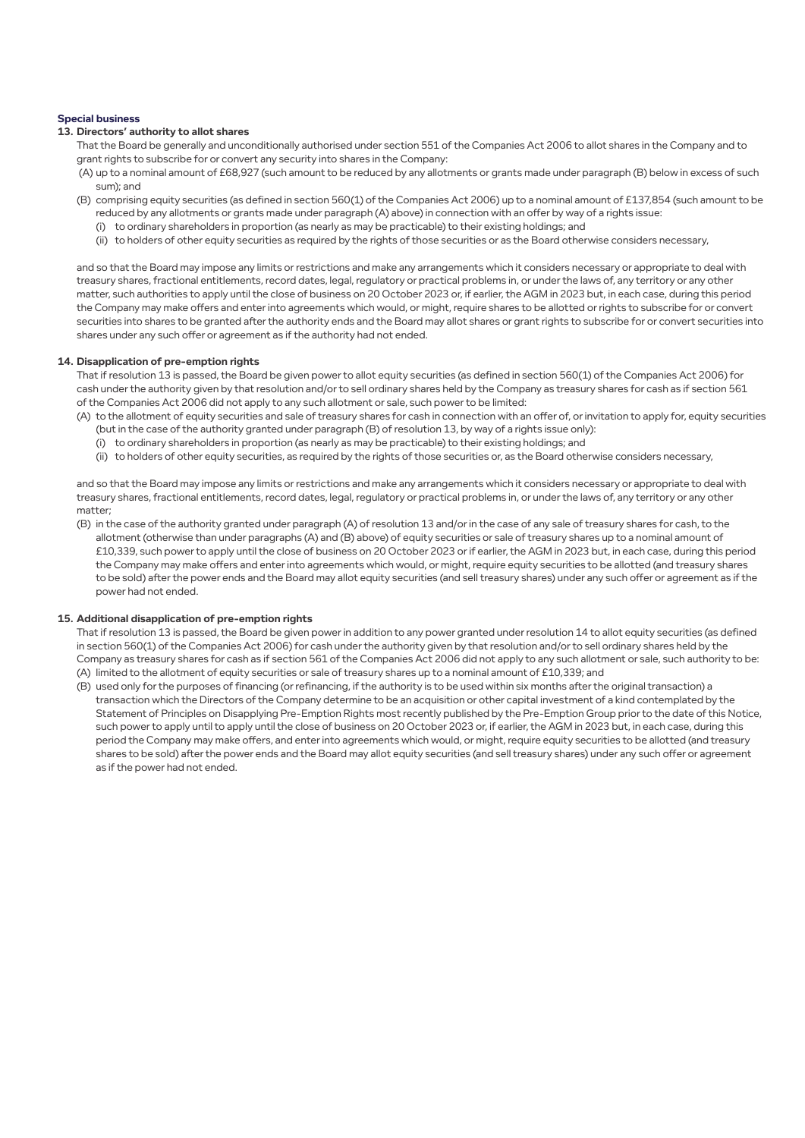#### **Special business**

#### **13. Directors' authority to allot shares**

- That the Board be generally and unconditionally authorised under section 551 of the Companies Act 2006 to allot shares in the Company and to grant rights to subscribe for or convert any security into shares in the Company:
- (A) up to a nominal amount of £68,927 (such amount to be reduced by any allotments or grants made under paragraph (B) below in excess of such sum); and
- (B) comprising equity securities (as defined in section 560(1) of the Companies Act 2006) up to a nominal amount of £137,854 (such amount to be reduced by any allotments or grants made under paragraph (A) above) in connection with an offer by way of a rights issue:
	- (i) to ordinary shareholders in proportion (as nearly as may be practicable) to their existing holdings; and
	- (ii) to holders of other equity securities as required by the rights of those securities or as the Board otherwise considers necessary,

and so that the Board may impose any limits or restrictions and make any arrangements which it considers necessary or appropriate to deal with treasury shares, fractional entitlements, record dates, legal, regulatory or practical problems in, or under the laws of, any territory or any other matter, such authorities to apply until the close of business on 20 October 2023 or, if earlier, the AGM in 2023 but, in each case, during this period the Company may make offers and enter into agreements which would, or might, require shares to be allotted or rights to subscribe for or convert securities into shares to be granted after the authority ends and the Board may allot shares or grant rights to subscribe for or convert securities into shares under any such offer or agreement as if the authority had not ended.

#### **14. Disapplication of pre-emption rights**

That if resolution 13 is passed, the Board be given power to allot equity securities (as defined in section 560(1) of the Companies Act 2006) for cash under the authority given by that resolution and/or to sell ordinary shares held by the Company as treasury shares for cash as if section 561 of the Companies Act 2006 did not apply to any such allotment or sale, such power to be limited:

- (A) to the allotment of equity securities and sale of treasury shares for cash in connection with an offer of, or invitation to apply for, equity securities (but in the case of the authority granted under paragraph (B) of resolution 13, by way of a rights issue only):
	- (i) to ordinary shareholders in proportion (as nearly as may be practicable) to their existing holdings; and
	- (ii) to holders of other equity securities, as required by the rights of those securities or, as the Board otherwise considers necessary,

and so that the Board may impose any limits or restrictions and make any arrangements which it considers necessary or appropriate to deal with treasury shares, fractional entitlements, record dates, legal, regulatory or practical problems in, or under the laws of, any territory or any other matter;

(B) in the case of the authority granted under paragraph (A) of resolution 13 and/or in the case of any sale of treasury shares for cash, to the allotment (otherwise than under paragraphs (A) and (B) above) of equity securities or sale of treasury shares up to a nominal amount of £10,339, such power to apply until the close of business on 20 October 2023 or if earlier, the AGM in 2023 but, in each case, during this period the Company may make offers and enter into agreements which would, or might, require equity securities to be allotted (and treasury shares to be sold) after the power ends and the Board may allot equity securities (and sell treasury shares) under any such offer or agreement as if the power had not ended.

#### **15. Additional disapplication of pre-emption rights**

That if resolution 13 is passed, the Board be given power in addition to any power granted under resolution 14 to allot equity securities (as defined in section 560(1) of the Companies Act 2006) for cash under the authority given by that resolution and/or to sell ordinary shares held by the Company as treasury shares for cash as if section 561 of the Companies Act 2006 did not apply to any such allotment or sale, such authority to be: (A) limited to the allotment of equity securities or sale of treasury shares up to a nominal amount of £10,339; and

(B) used only for the purposes of financing (or refinancing, if the authority is to be used within six months after the original transaction) a transaction which the Directors of the Company determine to be an acquisition or other capital investment of a kind contemplated by the Statement of Principles on Disapplying Pre-Emption Rights most recently published by the Pre-Emption Group prior to the date of this Notice, such power to apply until to apply until the close of business on 20 October 2023 or, if earlier, the AGM in 2023 but, in each case, during this period the Company may make offers, and enter into agreements which would, or might, require equity securities to be allotted (and treasury shares to be sold) after the power ends and the Board may allot equity securities (and sell treasury shares) under any such offer or agreement as if the power had not ended.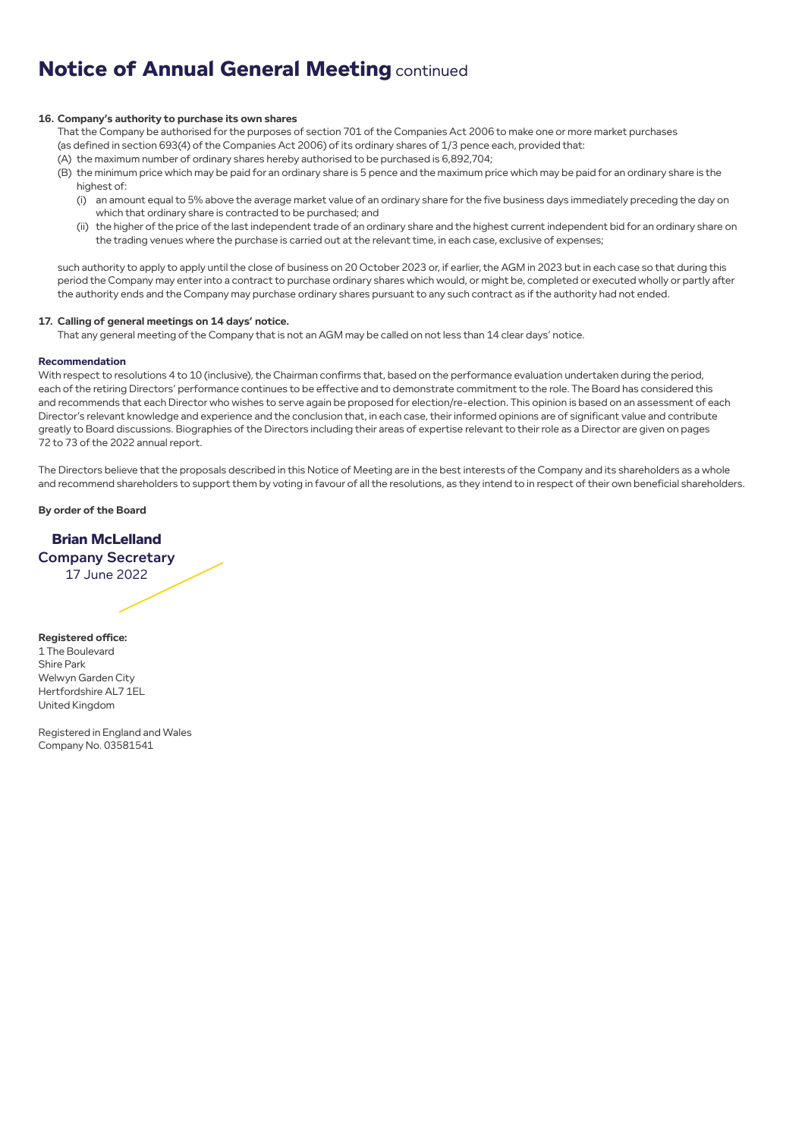# **Notice of Annual General Meeting continued**

#### **16. Company's authority to purchase its own shares**

That the Company be authorised for the purposes of section 701 of the Companies Act 2006 to make one or more market purchases (as defined in section 693(4) of the Companies Act 2006) of its ordinary shares of 1/3 pence each, provided that:

- (A) the maximum number of ordinary shares hereby authorised to be purchased is 6,892,704;
- (B) the minimum price which may be paid for an ordinary share is 5 pence and the maximum price which may be paid for an ordinary share is the highest of:
	- (i) an amount equal to 5% above the average market value of an ordinary share for the five business days immediately preceding the day on which that ordinary share is contracted to be purchased; and
	- (ii) the higher of the price of the last independent trade of an ordinary share and the highest current independent bid for an ordinary share on the trading venues where the purchase is carried out at the relevant time, in each case, exclusive of expenses;

such authority to apply to apply until the close of business on 20 October 2023 or, if earlier, the AGM in 2023 but in each case so that during this period the Company may enter into a contract to purchase ordinary shares which would, or might be, completed or executed wholly or partly after the authority ends and the Company may purchase ordinary shares pursuant to any such contract as if the authority had not ended.

#### **17. Calling of general meetings on 14 days' notice.**

That any general meeting of the Company that is not an AGM may be called on not less than 14 clear days' notice.

#### **Recommendation**

With respect to resolutions 4 to 10 (inclusive), the Chairman confirms that, based on the performance evaluation undertaken during the period, each of the retiring Directors' performance continues to be effective and to demonstrate commitment to the role. The Board has considered this and recommends that each Director who wishes to serve again be proposed for election/re-election. This opinion is based on an assessment of each Director's relevant knowledge and experience and the conclusion that, in each case, their informed opinions are of significant value and contribute greatly to Board discussions. Biographies of the Directors including their areas of expertise relevant to their role as a Director are given on pages 72 to 73 of the 2022 annual report.

The Directors believe that the proposals described in this Notice of Meeting are in the best interests of the Company and its shareholders as a whole and recommend shareholders to support them by voting in favour of all the resolutions, as they intend to in respect of their own beneficial shareholders.

**By order of the Board**

**Brian McLelland**  Company Secretary 17 June 2022

**Registered office:**  1 The Boulevard Shire Park Welwyn Garden City Hertfordshire AL7 1EL United Kingdom

Registered in England and Wales Company No. 03581541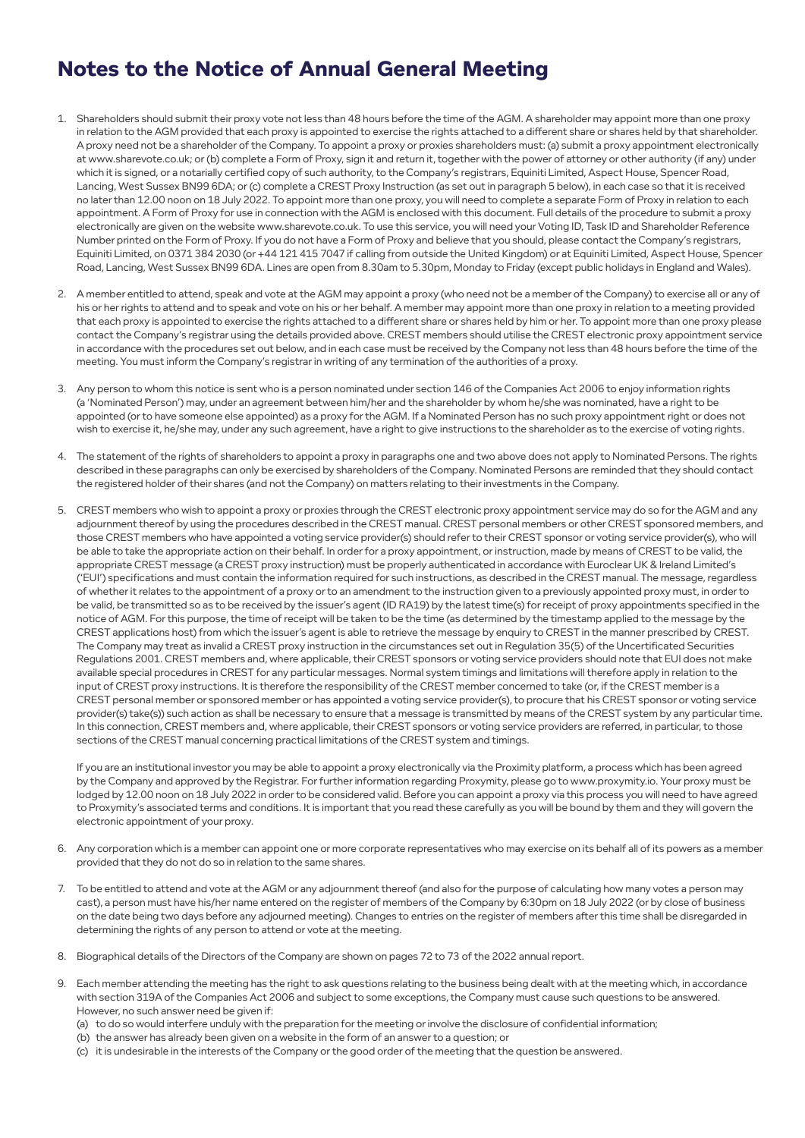## **Notes to the Notice of Annual General Meeting**

- 1. Shareholders should submit their proxy vote not less than 48 hours before the time of the AGM. A shareholder may appoint more than one proxy in relation to the AGM provided that each proxy is appointed to exercise the rights attached to a different share or shares held by that shareholder. A proxy need not be a shareholder of the Company. To appoint a proxy or proxies shareholders must: (a) submit a proxy appointment electronically at www.sharevote.co.uk; or (b) complete a Form of Proxy, sign it and return it, together with the power of attorney or other authority (if any) under which it is signed, or a notarially certified copy of such authority, to the Company's registrars, Equiniti Limited, Aspect House, Spencer Road, Lancing, West Sussex BN99 6DA; or (c) complete a CREST Proxy Instruction (as set out in paragraph 5 below), in each case so that it is received no later than 12.00 noon on 18 July 2022. To appoint more than one proxy, you will need to complete a separate Form of Proxy in relation to each appointment. A Form of Proxy for use in connection with the AGM is enclosed with this document. Full details of the procedure to submit a proxy electronically are given on the website www.sharevote.co.uk. To use this service, you will need your Voting ID, Task ID and Shareholder Reference Number printed on the Form of Proxy. If you do not have a Form of Proxy and believe that you should, please contact the Company's registrars, Equiniti Limited, on 0371 384 2030 (or +44 121 415 7047 if calling from outside the United Kingdom) or at Equiniti Limited, Aspect House, Spencer Road, Lancing, West Sussex BN99 6DA. Lines are open from 8.30am to 5.30pm, Monday to Friday (except public holidays in England and Wales).
- 2. A member entitled to attend, speak and vote at the AGM may appoint a proxy (who need not be a member of the Company) to exercise all or any of his or her rights to attend and to speak and vote on his or her behalf. A member may appoint more than one proxy in relation to a meeting provided that each proxy is appointed to exercise the rights attached to a different share or shares held by him or her. To appoint more than one proxy please contact the Company's registrar using the details provided above. CREST members should utilise the CREST electronic proxy appointment service in accordance with the procedures set out below, and in each case must be received by the Company not less than 48 hours before the time of the meeting. You must inform the Company's registrar in writing of any termination of the authorities of a proxy.
- 3. Any person to whom this notice is sent who is a person nominated under section 146 of the Companies Act 2006 to enjoy information rights (a 'Nominated Person') may, under an agreement between him/her and the shareholder by whom he/she was nominated, have a right to be appointed (or to have someone else appointed) as a proxy for the AGM. If a Nominated Person has no such proxy appointment right or does not wish to exercise it, he/she may, under any such agreement, have a right to give instructions to the shareholder as to the exercise of voting rights.
- 4. The statement of the rights of shareholders to appoint a proxy in paragraphs one and two above does not apply to Nominated Persons. The rights described in these paragraphs can only be exercised by shareholders of the Company. Nominated Persons are reminded that they should contact the registered holder of their shares (and not the Company) on matters relating to their investments in the Company.
- 5. CREST members who wish to appoint a proxy or proxies through the CREST electronic proxy appointment service may do so for the AGM and any adjournment thereof by using the procedures described in the CREST manual. CREST personal members or other CREST sponsored members, and those CREST members who have appointed a voting service provider(s) should refer to their CREST sponsor or voting service provider(s), who will be able to take the appropriate action on their behalf. In order for a proxy appointment, or instruction, made by means of CREST to be valid, the appropriate CREST message (a CREST proxy instruction) must be properly authenticated in accordance with Euroclear UK & Ireland Limited's ('EUI') specifications and must contain the information required for such instructions, as described in the CREST manual. The message, regardless of whether it relates to the appointment of a proxy or to an amendment to the instruction given to a previously appointed proxy must, in order to be valid, be transmitted so as to be received by the issuer's agent (ID RA19) by the latest time(s) for receipt of proxy appointments specified in the notice of AGM. For this purpose, the time of receipt will be taken to be the time (as determined by the timestamp applied to the message by the CREST applications host) from which the issuer's agent is able to retrieve the message by enquiry to CREST in the manner prescribed by CREST. The Company may treat as invalid a CREST proxy instruction in the circumstances set out in Regulation 35(5) of the Uncertificated Securities Regulations 2001. CREST members and, where applicable, their CREST sponsors or voting service providers should note that EUI does not make available special procedures in CREST for any particular messages. Normal system timings and limitations will therefore apply in relation to the input of CREST proxy instructions. It is therefore the responsibility of the CREST member concerned to take (or, if the CREST member is a CREST personal member or sponsored member or has appointed a voting service provider(s), to procure that his CREST sponsor or voting service provider(s) take(s)) such action as shall be necessary to ensure that a message is transmitted by means of the CREST system by any particular time. In this connection, CREST members and, where applicable, their CREST sponsors or voting service providers are referred, in particular, to those sections of the CREST manual concerning practical limitations of the CREST system and timings.

If you are an institutional investor you may be able to appoint a proxy electronically via the Proximity platform, a process which has been agreed by the Company and approved by the Registrar. For further information regarding Proxymity, please go to www.proxymity.io. Your proxy must be lodged by 12.00 noon on 18 July 2022 in order to be considered valid. Before you can appoint a proxy via this process you will need to have agreed to Proxymity's associated terms and conditions. It is important that you read these carefully as you will be bound by them and they will govern the electronic appointment of your proxy.

- 6. Any corporation which is a member can appoint one or more corporate representatives who may exercise on its behalf all of its powers as a member provided that they do not do so in relation to the same shares.
- 7. To be entitled to attend and vote at the AGM or any adjournment thereof (and also for the purpose of calculating how many votes a person may cast), a person must have his/her name entered on the register of members of the Company by 6:30pm on 18 July 2022 (or by close of business on the date being two days before any adjourned meeting). Changes to entries on the register of members after this time shall be disregarded in determining the rights of any person to attend or vote at the meeting.
- 8. Biographical details of the Directors of the Company are shown on pages 72 to 73 of the 2022 annual report.
- 9. Each member attending the meeting has the right to ask questions relating to the business being dealt with at the meeting which, in accordance with section 319A of the Companies Act 2006 and subject to some exceptions, the Company must cause such questions to be answered. However, no such answer need be given if:
	- (a) to do so would interfere unduly with the preparation for the meeting or involve the disclosure of confidential information;
	- (b) the answer has already been given on a website in the form of an answer to a question; or
	- (c) it is undesirable in the interests of the Company or the good order of the meeting that the question be answered.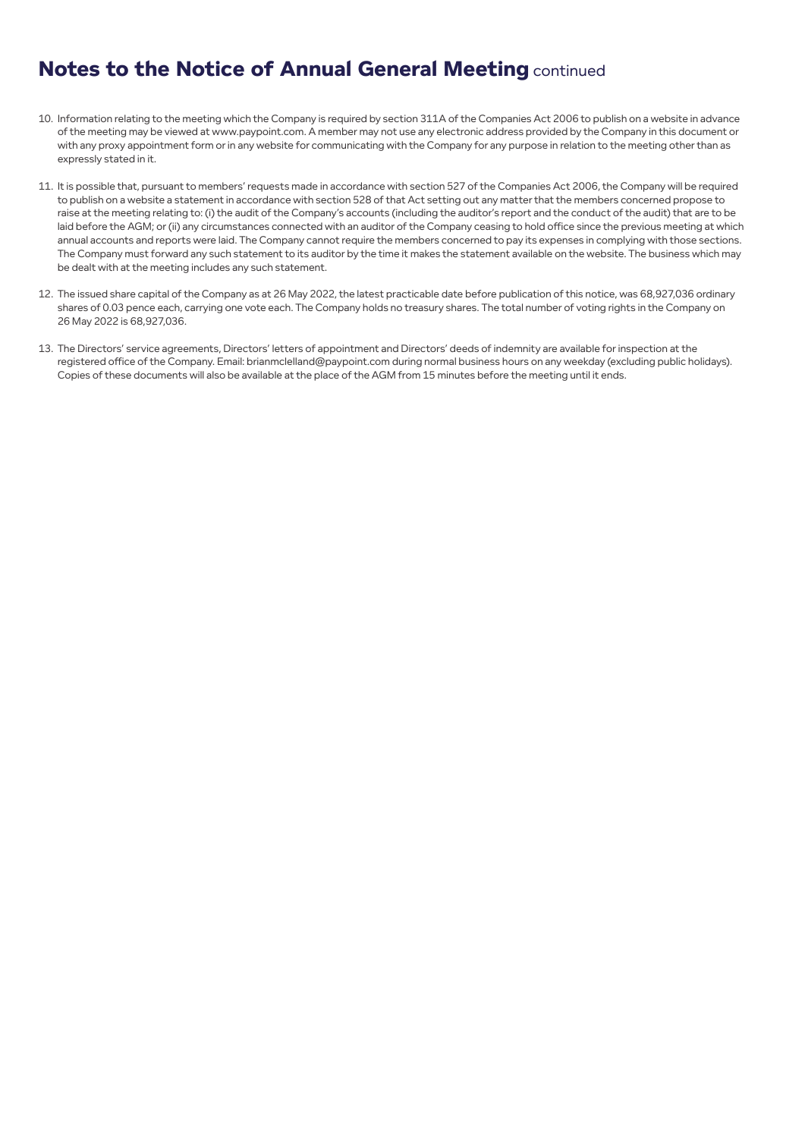## **Notes to the Notice of Annual General Meeting** continued

- 10. Information relating to the meeting which the Company is required by section 311A of the Companies Act 2006 to publish on a website in advance of the meeting may be viewed at www.paypoint.com. A member may not use any electronic address provided by the Company in this document or with any proxy appointment form or in any website for communicating with the Company for any purpose in relation to the meeting other than as expressly stated in it.
- 11. It is possible that, pursuant to members' requests made in accordance with section 527 of the Companies Act 2006, the Company will be required to publish on a website a statement in accordance with section 528 of that Act setting out any matter that the members concerned propose to raise at the meeting relating to: (i) the audit of the Company's accounts (including the auditor's report and the conduct of the audit) that are to be laid before the AGM; or (ii) any circumstances connected with an auditor of the Company ceasing to hold office since the previous meeting at which annual accounts and reports were laid. The Company cannot require the members concerned to pay its expenses in complying with those sections. The Company must forward any such statement to its auditor by the time it makes the statement available on the website. The business which may be dealt with at the meeting includes any such statement.
- 12. The issued share capital of the Company as at 26 May 2022, the latest practicable date before publication of this notice, was 68,927,036 ordinary shares of 0.03 pence each, carrying one vote each. The Company holds no treasury shares. The total number of voting rights in the Company on 26 May 2022 is 68,927,036.
- 13. The Directors' service agreements, Directors' letters of appointment and Directors' deeds of indemnity are available for inspection at the registered office of the Company. Email: brianmclelland@paypoint.com during normal business hours on any weekday (excluding public holidays). Copies of these documents will also be available at the place of the AGM from 15 minutes before the meeting until it ends.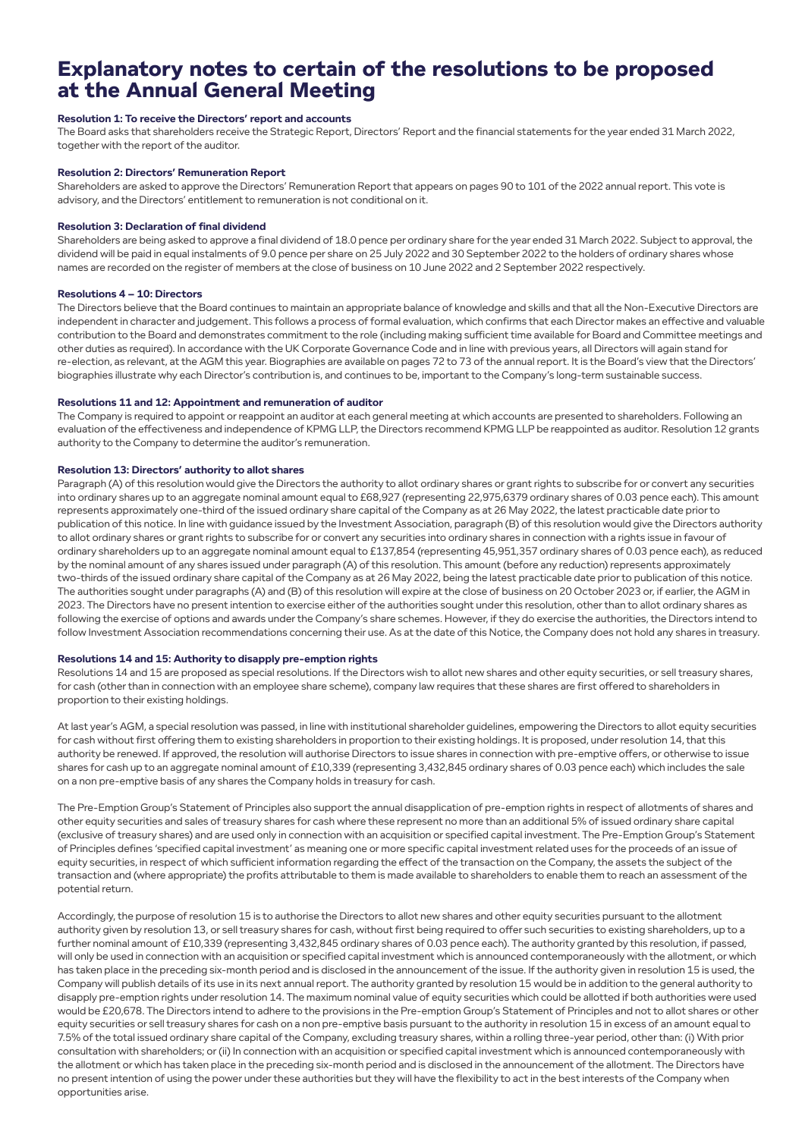### **Explanatory notes to certain of the resolutions to be proposed at the Annual General Meeting**

#### **Resolution 1: To receive the Directors' report and accounts**

The Board asks that shareholders receive the Strategic Report, Directors' Report and the financial statements for the year ended 31 March 2022, together with the report of the auditor.

#### **Resolution 2: Directors' Remuneration Report**

Shareholders are asked to approve the Directors' Remuneration Report that appears on pages 90 to 101 of the 2022 annual report. This vote is advisory, and the Directors' entitlement to remuneration is not conditional on it.

#### **Resolution 3: Declaration of final dividend**

Shareholders are being asked to approve a final dividend of 18.0 pence per ordinary share for the year ended 31 March 2022. Subject to approval, the dividend will be paid in equal instalments of 9.0 pence per share on 25 July 2022 and 30 September 2022 to the holders of ordinary shares whose names are recorded on the register of members at the close of business on 10 June 2022 and 2 September 2022 respectively.

#### **Resolutions 4 – 10: Directors**

The Directors believe that the Board continues to maintain an appropriate balance of knowledge and skills and that all the Non-Executive Directors are independent in character and judgement. This follows a process of formal evaluation, which confirms that each Director makes an effective and valuable contribution to the Board and demonstrates commitment to the role (including making sufficient time available for Board and Committee meetings and other duties as required). In accordance with the UK Corporate Governance Code and in line with previous years, all Directors will again stand for re-election, as relevant, at the AGM this year. Biographies are available on pages 72 to 73 of the annual report. It is the Board's view that the Directors' biographies illustrate why each Director's contribution is, and continues to be, important to the Company's long-term sustainable success.

#### **Resolutions 11 and 12: Appointment and remuneration of auditor**

The Company is required to appoint or reappoint an auditor at each general meeting at which accounts are presented to shareholders. Following an evaluation of the effectiveness and independence of KPMG LLP, the Directors recommend KPMG LLP be reappointed as auditor. Resolution 12 grants authority to the Company to determine the auditor's remuneration.

#### **Resolution 13: Directors' authority to allot shares**

Paragraph (A) of this resolution would give the Directors the authority to allot ordinary shares or grant rights to subscribe for or convert any securities into ordinary shares up to an aggregate nominal amount equal to £68,927 (representing 22,975,6379 ordinary shares of 0.03 pence each). This amount represents approximately one-third of the issued ordinary share capital of the Company as at 26 May 2022, the latest practicable date prior to publication of this notice. In line with guidance issued by the Investment Association, paragraph (B) of this resolution would give the Directors authority to allot ordinary shares or grant rights to subscribe for or convert any securities into ordinary shares in connection with a rights issue in favour of ordinary shareholders up to an aggregate nominal amount equal to £137,854 (representing 45,951,357 ordinary shares of 0.03 pence each), as reduced by the nominal amount of any shares issued under paragraph (A) of this resolution. This amount (before any reduction) represents approximately two-thirds of the issued ordinary share capital of the Company as at 26 May 2022, being the latest practicable date prior to publication of this notice. The authorities sought under paragraphs (A) and (B) of this resolution will expire at the close of business on 20 October 2023 or, if earlier, the AGM in 2023. The Directors have no present intention to exercise either of the authorities sought under this resolution, other than to allot ordinary shares as following the exercise of options and awards under the Company's share schemes. However, if they do exercise the authorities, the Directors intend to follow Investment Association recommendations concerning their use. As at the date of this Notice, the Company does not hold any shares in treasury.

#### **Resolutions 14 and 15: Authority to disapply pre-emption rights**

Resolutions 14 and 15 are proposed as special resolutions. If the Directors wish to allot new shares and other equity securities, or sell treasury shares, for cash (other than in connection with an employee share scheme), company law requires that these shares are first offered to shareholders in proportion to their existing holdings.

At last year's AGM, a special resolution was passed, in line with institutional shareholder guidelines, empowering the Directors to allot equity securities for cash without first offering them to existing shareholders in proportion to their existing holdings. It is proposed, under resolution 14, that this authority be renewed. If approved, the resolution will authorise Directors to issue shares in connection with pre-emptive offers, or otherwise to issue shares for cash up to an aggregate nominal amount of £10,339 (representing 3,432,845 ordinary shares of 0.03 pence each) which includes the sale on a non pre-emptive basis of any shares the Company holds in treasury for cash.

The Pre-Emption Group's Statement of Principles also support the annual disapplication of pre-emption rights in respect of allotments of shares and other equity securities and sales of treasury shares for cash where these represent no more than an additional 5% of issued ordinary share capital (exclusive of treasury shares) and are used only in connection with an acquisition or specified capital investment. The Pre-Emption Group's Statement of Principles defines 'specified capital investment' as meaning one or more specific capital investment related uses for the proceeds of an issue of equity securities, in respect of which sufficient information regarding the effect of the transaction on the Company, the assets the subject of the transaction and (where appropriate) the profits attributable to them is made available to shareholders to enable them to reach an assessment of the potential return.

Accordingly, the purpose of resolution 15 is to authorise the Directors to allot new shares and other equity securities pursuant to the allotment authority given by resolution 13, or sell treasury shares for cash, without first being required to offer such securities to existing shareholders, up to a further nominal amount of £10,339 (representing 3,432,845 ordinary shares of 0.03 pence each). The authority granted by this resolution, if passed, will only be used in connection with an acquisition or specified capital investment which is announced contemporaneously with the allotment, or which has taken place in the preceding six-month period and is disclosed in the announcement of the issue. If the authority given in resolution 15 is used, the Company will publish details of its use in its next annual report. The authority granted by resolution 15 would be in addition to the general authority to disapply pre-emption rights under resolution 14. The maximum nominal value of equity securities which could be allotted if both authorities were used would be £20,678. The Directors intend to adhere to the provisions in the Pre-emption Group's Statement of Principles and not to allot shares or other equity securities or sell treasury shares for cash on a non pre-emptive basis pursuant to the authority in resolution 15 in excess of an amount equal to 7.5% of the total issued ordinary share capital of the Company, excluding treasury shares, within a rolling three-year period, other than: (i) With prior consultation with shareholders; or (ii) In connection with an acquisition or specified capital investment which is announced contemporaneously with the allotment or which has taken place in the preceding six-month period and is disclosed in the announcement of the allotment. The Directors have no present intention of using the power under these authorities but they will have the flexibility to act in the best interests of the Company when opportunities arise.